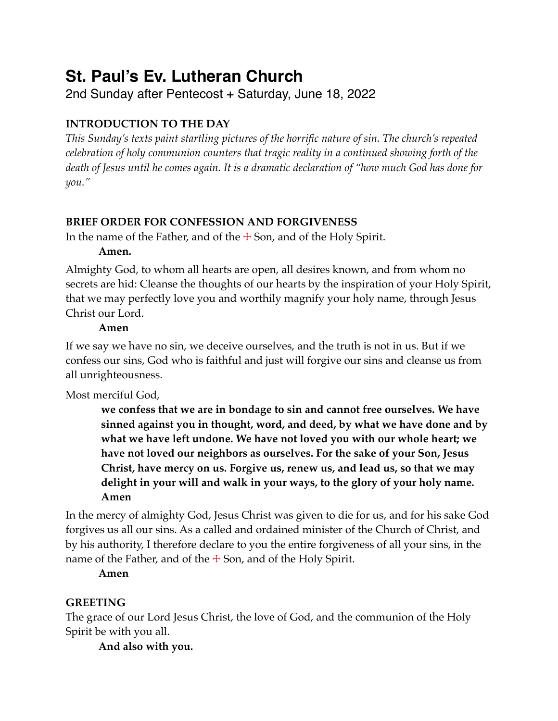# **St. Paul's Ev. Lutheran Church**

2nd Sunday after Pentecost + Saturday, June 18, 2022

# **INTRODUCTION TO THE DAY**

*This Sunday's texts paint startling pictures of the horrific nature of sin. The church's repeated celebration of holy communion counters that tragic reality in a continued showing forth of the death of Jesus until he comes again. It is a dramatic declaration of "how much God has done for you."*

# **BRIEF ORDER FOR CONFESSION AND FORGIVENESS**

In the name of the Father, and of the  $\pm$  Son, and of the Holy Spirit.

# **Amen.**

Almighty God, to whom all hearts are open, all desires known, and from whom no secrets are hid: Cleanse the thoughts of our hearts by the inspiration of your Holy Spirit, that we may perfectly love you and worthily magnify your holy name, through Jesus Christ our Lord.

# **Amen**

If we say we have no sin, we deceive ourselves, and the truth is not in us. But if we confess our sins, God who is faithful and just will forgive our sins and cleanse us from all unrighteousness.

Most merciful God,

**we confess that we are in bondage to sin and cannot free ourselves. We have sinned against you in thought, word, and deed, by what we have done and by what we have left undone. We have not loved you with our whole heart; we have not loved our neighbors as ourselves. For the sake of your Son, Jesus Christ, have mercy on us. Forgive us, renew us, and lead us, so that we may delight in your will and walk in your ways, to the glory of your holy name. Amen**

In the mercy of almighty God, Jesus Christ was given to die for us, and for his sake God forgives us all our sins. As a called and ordained minister of the Church of Christ, and by his authority, I therefore declare to you the entire forgiveness of all your sins, in the name of the Father, and of the  $\pm$  Son, and of the Holy Spirit.

**Amen**

# **GREETING**

The grace of our Lord Jesus Christ, the love of God, and the communion of the Holy Spirit be with you all.

**And also with you.**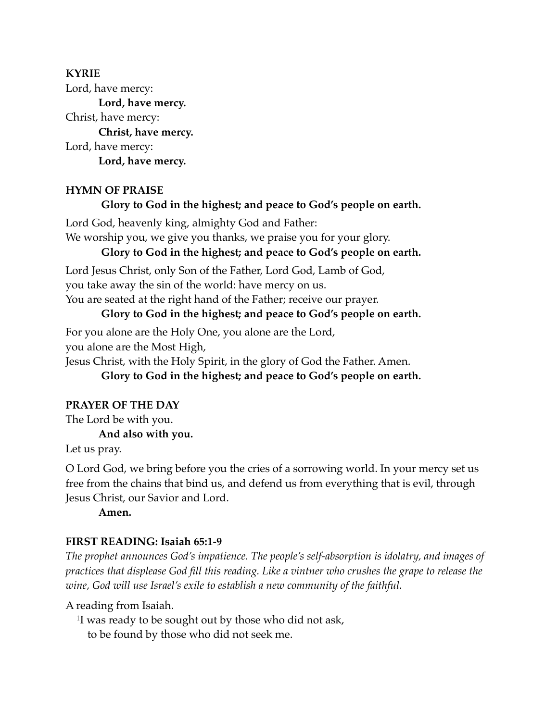# **KYRIE**

Lord, have mercy: **Lord, have mercy.** Christ, have mercy: **Christ, have mercy.** Lord, have mercy: **Lord, have mercy.**

#### **HYMN OF PRAISE**

#### **Glory to God in the highest; and peace to God's people on earth.**

Lord God, heavenly king, almighty God and Father:

We worship you, we give you thanks, we praise you for your glory.

#### **Glory to God in the highest; and peace to God's people on earth.**

Lord Jesus Christ, only Son of the Father, Lord God, Lamb of God,

you take away the sin of the world: have mercy on us.

You are seated at the right hand of the Father; receive our prayer.

#### **Glory to God in the highest; and peace to God's people on earth.**

For you alone are the Holy One, you alone are the Lord,

you alone are the Most High,

Jesus Christ, with the Holy Spirit, in the glory of God the Father. Amen.

**Glory to God in the highest; and peace to God's people on earth.**

#### **PRAYER OF THE DAY**

The Lord be with you.

#### **And also with you.**

Let us pray.

O Lord God, we bring before you the cries of a sorrowing world. In your mercy set us free from the chains that bind us, and defend us from everything that is evil, through Jesus Christ, our Savior and Lord.

**Amen.**

#### **FIRST READING: Isaiah 65:1-9**

*The prophet announces God's impatience. The people's self-absorption is idolatry, and images of practices that displease God fill this reading. Like a vintner who crushes the grape to release the wine, God will use Israel's exile to establish a new community of the faithful.*

A reading from Isaiah.

<sup>1</sup>I was ready to be sought out by those who did not ask,

to be found by those who did not seek me.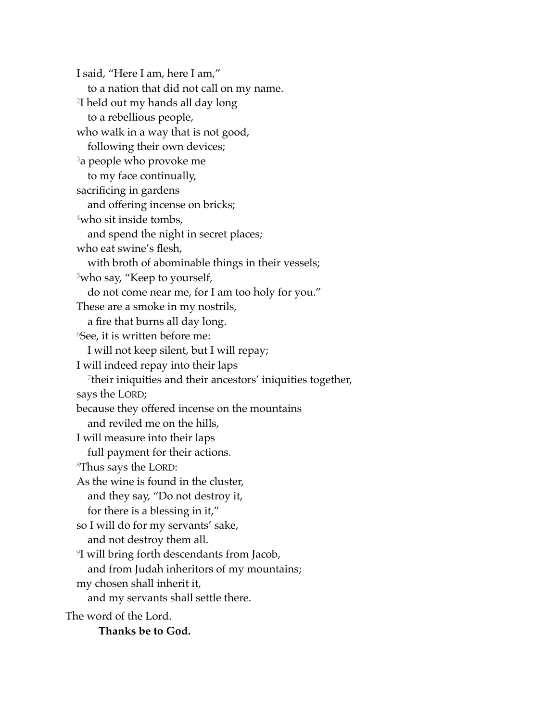I said, "Here I am, here I am," to a nation that did not call on my name. 2I held out my hands all day long to a rebellious people, who walk in a way that is not good, following their own devices; <sup>3</sup>a people who provoke me to my face continually, sacrificing in gardens and offering incense on bricks; 4who sit inside tombs, and spend the night in secret places; who eat swine's flesh, with broth of abominable things in their vessels; 5who say, "Keep to yourself, do not come near me, for I am too holy for you." These are a smoke in my nostrils, a fire that burns all day long. 6See, it is written before me: I will not keep silent, but I will repay; I will indeed repay into their laps 7their iniquities and their ancestors' iniquities together, says the LORD; because they offered incense on the mountains and reviled me on the hills, I will measure into their laps full payment for their actions. 8Thus says the LORD: As the wine is found in the cluster, and they say, "Do not destroy it, for there is a blessing in it," so I will do for my servants' sake, and not destroy them all. 9I will bring forth descendants from Jacob, and from Judah inheritors of my mountains; my chosen shall inherit it, and my servants shall settle there. The word of the Lord. **Thanks be to God.**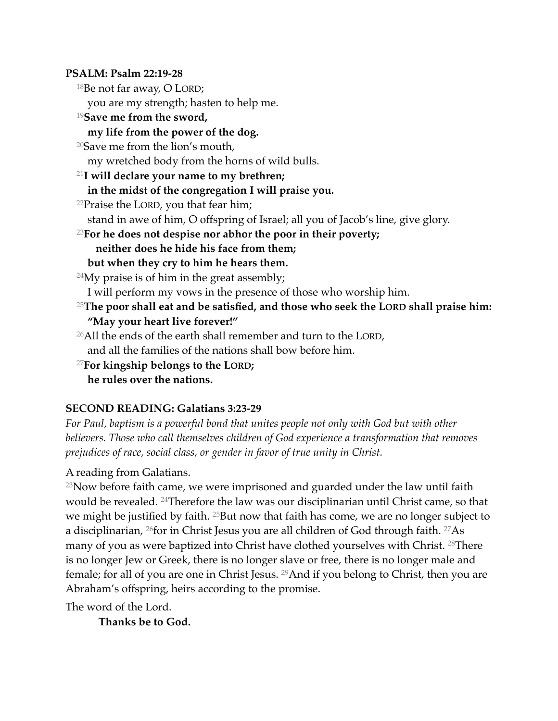#### **PSALM: Psalm 22:19-28**

18Be not far away, O LORD;

you are my strength; hasten to help me.

### <sup>19</sup>**Save me from the sword,**

# **my life from the power of the dog.**

20Save me from the lion's mouth,

my wretched body from the horns of wild bulls.

# <sup>21</sup>**I will declare your name to my brethren; in the midst of the congregation I will praise you.**

 $22$ Praise the LORD, you that fear him;

stand in awe of him, O offspring of Israel; all you of Jacob's line, give glory.

# <sup>23</sup>**For he does not despise nor abhor the poor in their poverty; neither does he hide his face from them;**

# **but when they cry to him he hears them.**

<sup>24</sup>My praise is of him in the great assembly;

I will perform my vows in the presence of those who worship him.

- <sup>25</sup>**The poor shall eat and be satisfied, and those who seek the LORD shall praise him: "May your heart live forever!"**
- $26$ All the ends of the earth shall remember and turn to the LORD, and all the families of the nations shall bow before him.

<sup>27</sup>**For kingship belongs to the LORD;**

**he rules over the nations.**

# **SECOND READING: Galatians 3:23-29**

*For Paul, baptism is a powerful bond that unites people not only with God but with other believers. Those who call themselves children of God experience a transformation that removes prejudices of race, social class, or gender in favor of true unity in Christ.*

# A reading from Galatians.

 $23$ Now before faith came, we were imprisoned and guarded under the law until faith would be revealed. 24Therefore the law was our disciplinarian until Christ came, so that we might be justified by faith. <sup>25</sup>But now that faith has come, we are no longer subject to a disciplinarian, 26for in Christ Jesus you are all children of God through faith. 27As many of you as were baptized into Christ have clothed yourselves with Christ. 28There is no longer Jew or Greek, there is no longer slave or free, there is no longer male and female; for all of you are one in Christ Jesus. 29And if you belong to Christ, then you are Abraham's offspring, heirs according to the promise.

The word of the Lord.

**Thanks be to God.**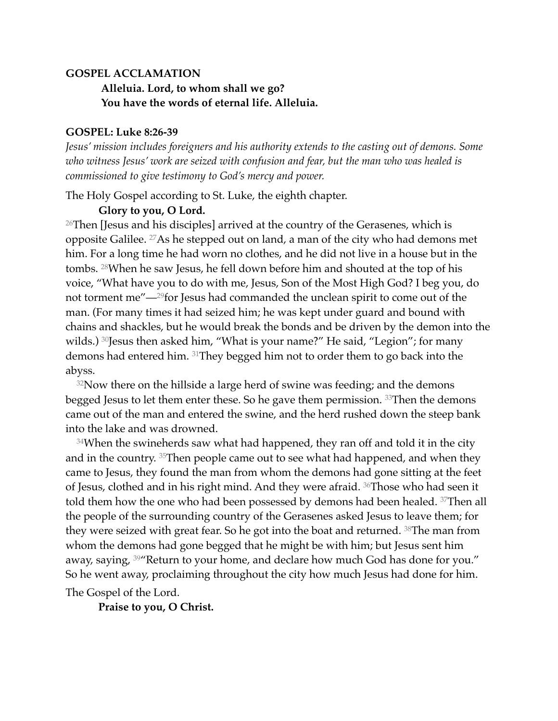#### **GOSPEL ACCLAMATION**

# **Alleluia. Lord, to whom shall we go? You have the words of eternal life. Alleluia.**

#### **GOSPEL: Luke 8:26-39**

*Jesus' mission includes foreigners and his authority extends to the casting out of demons. Some who witness Jesus' work are seized with confusion and fear, but the man who was healed is commissioned to give testimony to God's mercy and power.*

The Holy Gospel according to St. Luke, the eighth chapter.

#### **Glory to you, O Lord.**

<sup>26</sup>Then [Jesus and his disciples] arrived at the country of the Gerasenes, which is opposite Galilee. 27As he stepped out on land, a man of the city who had demons met him. For a long time he had worn no clothes, and he did not live in a house but in the tombs. 28When he saw Jesus, he fell down before him and shouted at the top of his voice, "What have you to do with me, Jesus, Son of the Most High God? I beg you, do not torment me"—29for Jesus had commanded the unclean spirit to come out of the man. (For many times it had seized him; he was kept under guard and bound with chains and shackles, but he would break the bonds and be driven by the demon into the wilds.) <sup>30</sup>Jesus then asked him, "What is your name?" He said, "Legion"; for many demons had entered him. 31They begged him not to order them to go back into the abyss.

 $32$ Now there on the hillside a large herd of swine was feeding; and the demons begged Jesus to let them enter these. So he gave them permission. <sup>33</sup>Then the demons came out of the man and entered the swine, and the herd rushed down the steep bank into the lake and was drowned.

 $34$ When the swineherds saw what had happened, they ran off and told it in the city and in the country. 35Then people came out to see what had happened, and when they came to Jesus, they found the man from whom the demons had gone sitting at the feet of Jesus, clothed and in his right mind. And they were afraid. 36Those who had seen it told them how the one who had been possessed by demons had been healed. 37Then all the people of the surrounding country of the Gerasenes asked Jesus to leave them; for they were seized with great fear. So he got into the boat and returned. 38The man from whom the demons had gone begged that he might be with him; but Jesus sent him away, saying, <sup>39</sup> Return to your home, and declare how much God has done for you." So he went away, proclaiming throughout the city how much Jesus had done for him. The Gospel of the Lord.

**Praise to you, O Christ.**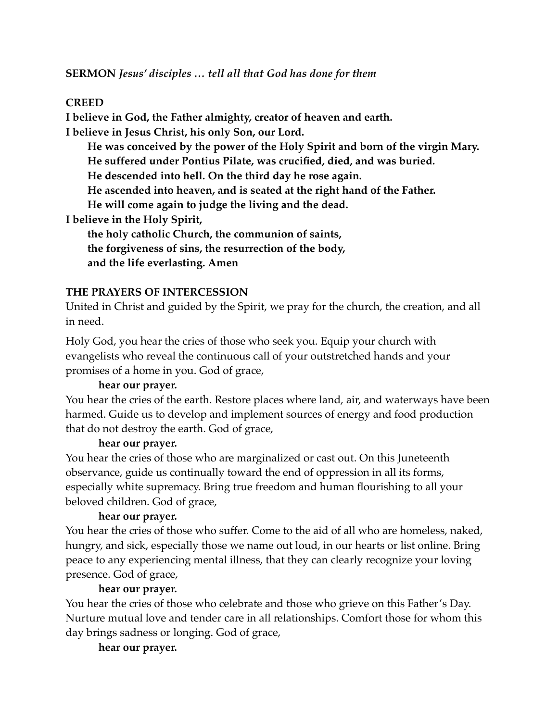# **CREED**

**I believe in God, the Father almighty, creator of heaven and earth. I believe in Jesus Christ, his only Son, our Lord.**

**He was conceived by the power of the Holy Spirit and born of the virgin Mary. He suffered under Pontius Pilate, was crucified, died, and was buried. He descended into hell. On the third day he rose again. He ascended into heaven, and is seated at the right hand of the Father. He will come again to judge the living and the dead. I believe in the Holy Spirit, the holy catholic Church, the communion of saints,**

**the forgiveness of sins, the resurrection of the body, and the life everlasting. Amen**

#### **THE PRAYERS OF INTERCESSION**

United in Christ and guided by the Spirit, we pray for the church, the creation, and all in need.

Holy God, you hear the cries of those who seek you. Equip your church with evangelists who reveal the continuous call of your outstretched hands and your promises of a home in you. God of grace,

#### **hear our prayer.**

You hear the cries of the earth. Restore places where land, air, and waterways have been harmed. Guide us to develop and implement sources of energy and food production that do not destroy the earth. God of grace,

#### **hear our prayer.**

You hear the cries of those who are marginalized or cast out. On this Juneteenth observance, guide us continually toward the end of oppression in all its forms, especially white supremacy. Bring true freedom and human flourishing to all your beloved children. God of grace,

# **hear our prayer.**

You hear the cries of those who suffer. Come to the aid of all who are homeless, naked, hungry, and sick, especially those we name out loud, in our hearts or list online. Bring peace to any experiencing mental illness, that they can clearly recognize your loving presence. God of grace,

# **hear our prayer.**

You hear the cries of those who celebrate and those who grieve on this Father's Day. Nurture mutual love and tender care in all relationships. Comfort those for whom this day brings sadness or longing. God of grace,

#### **hear our prayer.**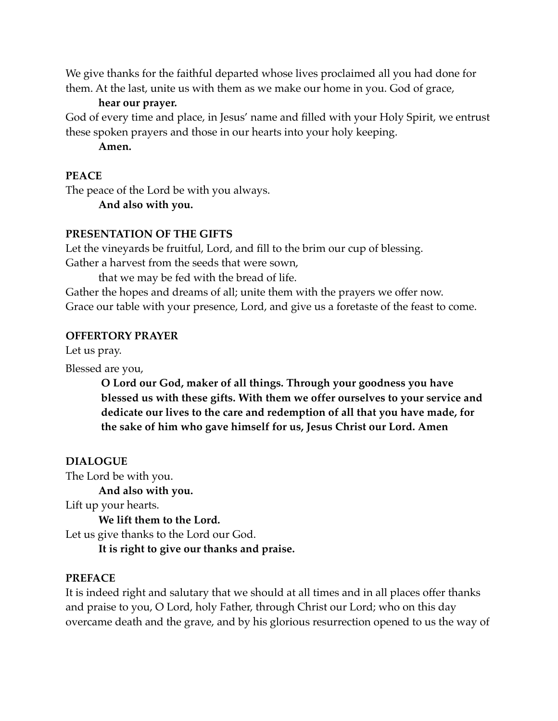We give thanks for the faithful departed whose lives proclaimed all you had done for them. At the last, unite us with them as we make our home in you. God of grace,

**hear our prayer.**

God of every time and place, in Jesus' name and filled with your Holy Spirit, we entrust these spoken prayers and those in our hearts into your holy keeping.

**Amen.**

# **PEACE**

The peace of the Lord be with you always. **And also with you.**

# **PRESENTATION OF THE GIFTS**

Let the vineyards be fruitful, Lord, and fill to the brim our cup of blessing. Gather a harvest from the seeds that were sown,

that we may be fed with the bread of life.

Gather the hopes and dreams of all; unite them with the prayers we offer now. Grace our table with your presence, Lord, and give us a foretaste of the feast to come.

# **OFFERTORY PRAYER**

Let us pray.

Blessed are you,

**O Lord our God, maker of all things. Through your goodness you have blessed us with these gifts. With them we offer ourselves to your service and dedicate our lives to the care and redemption of all that you have made, for the sake of him who gave himself for us, Jesus Christ our Lord. Amen**

# **DIALOGUE**

The Lord be with you. **And also with you.**

Lift up your hearts.

**We lift them to the Lord.** Let us give thanks to the Lord our God. **It is right to give our thanks and praise.**

# **PREFACE**

It is indeed right and salutary that we should at all times and in all places offer thanks and praise to you, O Lord, holy Father, through Christ our Lord; who on this day overcame death and the grave, and by his glorious resurrection opened to us the way of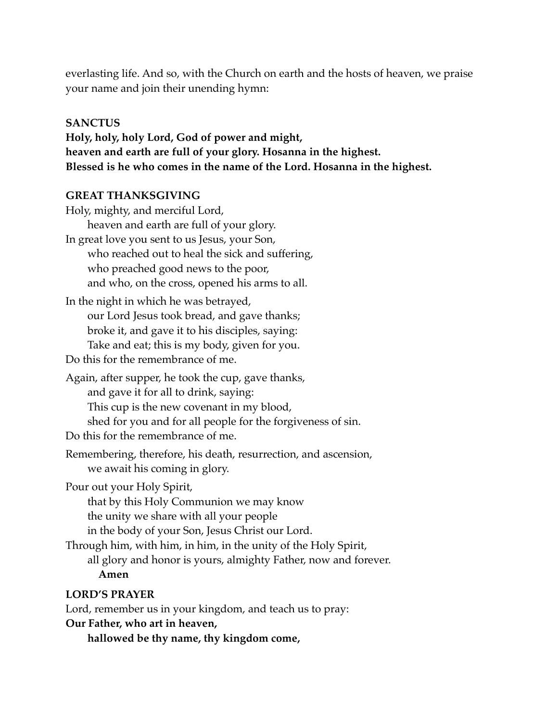everlasting life. And so, with the Church on earth and the hosts of heaven, we praise your name and join their unending hymn:

#### **SANCTUS**

**Holy, holy, holy Lord, God of power and might, heaven and earth are full of your glory. Hosanna in the highest. Blessed is he who comes in the name of the Lord. Hosanna in the highest.**

#### **GREAT THANKSGIVING**

Holy, mighty, and merciful Lord, heaven and earth are full of your glory. In great love you sent to us Jesus, your Son, who reached out to heal the sick and suffering, who preached good news to the poor, and who, on the cross, opened his arms to all. In the night in which he was betrayed, our Lord Jesus took bread, and gave thanks; broke it, and gave it to his disciples, saying: Take and eat; this is my body, given for you. Do this for the remembrance of me. Again, after supper, he took the cup, gave thanks, and gave it for all to drink, saying: This cup is the new covenant in my blood, shed for you and for all people for the forgiveness of sin. Do this for the remembrance of me. Remembering, therefore, his death, resurrection, and ascension, we await his coming in glory. Pour out your Holy Spirit, that by this Holy Communion we may know the unity we share with all your people in the body of your Son, Jesus Christ our Lord. Through him, with him, in him, in the unity of the Holy Spirit, all glory and honor is yours, almighty Father, now and forever. **Amen LORD'S PRAYER**

Lord, remember us in your kingdom, and teach us to pray:

#### **Our Father, who art in heaven,**

**hallowed be thy name, thy kingdom come,**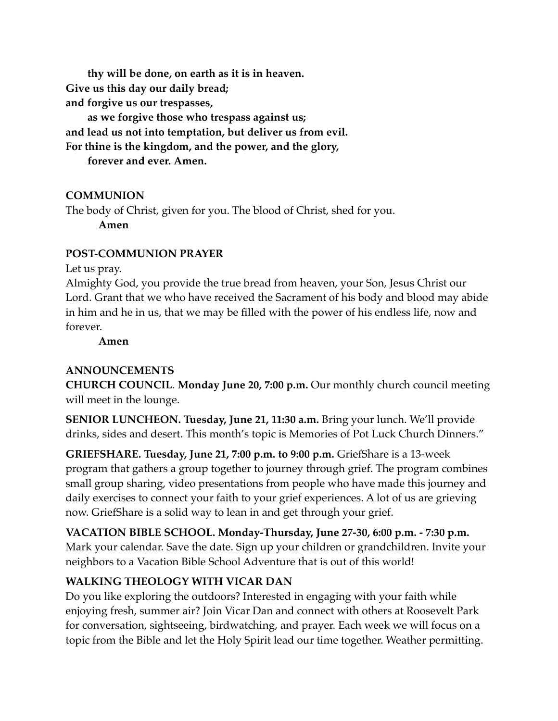**thy will be done, on earth as it is in heaven. Give us this day our daily bread; and forgive us our trespasses, as we forgive those who trespass against us; and lead us not into temptation, but deliver us from evil. For thine is the kingdom, and the power, and the glory,**

**forever and ever. Amen.**

# **COMMUNION**

The body of Christ, given for you. The blood of Christ, shed for you.

**Amen**

# **POST-COMMUNION PRAYER**

Let us pray.

Almighty God, you provide the true bread from heaven, your Son, Jesus Christ our Lord. Grant that we who have received the Sacrament of his body and blood may abide in him and he in us, that we may be filled with the power of his endless life, now and forever.

**Amen**

# **ANNOUNCEMENTS**

**CHURCH COUNCIL**. **Monday June 20, 7:00 p.m.** Our monthly church council meeting will meet in the lounge.

**SENIOR LUNCHEON. Tuesday, June 21, 11:30 a.m.** Bring your lunch. We'll provide drinks, sides and desert. This month's topic is Memories of Pot Luck Church Dinners."

**GRIEFSHARE. Tuesday, June 21, 7:00 p.m. to 9:00 p.m.** GriefShare is a 13-week program that gathers a group together to journey through grief. The program combines small group sharing, video presentations from people who have made this journey and daily exercises to connect your faith to your grief experiences. A lot of us are grieving now. GriefShare is a solid way to lean in and get through your grief.

**VACATION BIBLE SCHOOL. Monday-Thursday, June 27-30, 6:00 p.m. - 7:30 p.m.** Mark your calendar. Save the date. Sign up your children or grandchildren. Invite your neighbors to a Vacation Bible School Adventure that is out of this world!

# **WALKING THEOLOGY WITH VICAR DAN**

Do you like exploring the outdoors? Interested in engaging with your faith while enjoying fresh, summer air? Join Vicar Dan and connect with others at Roosevelt Park for conversation, sightseeing, birdwatching, and prayer. Each week we will focus on a topic from the Bible and let the Holy Spirit lead our time together. Weather permitting.